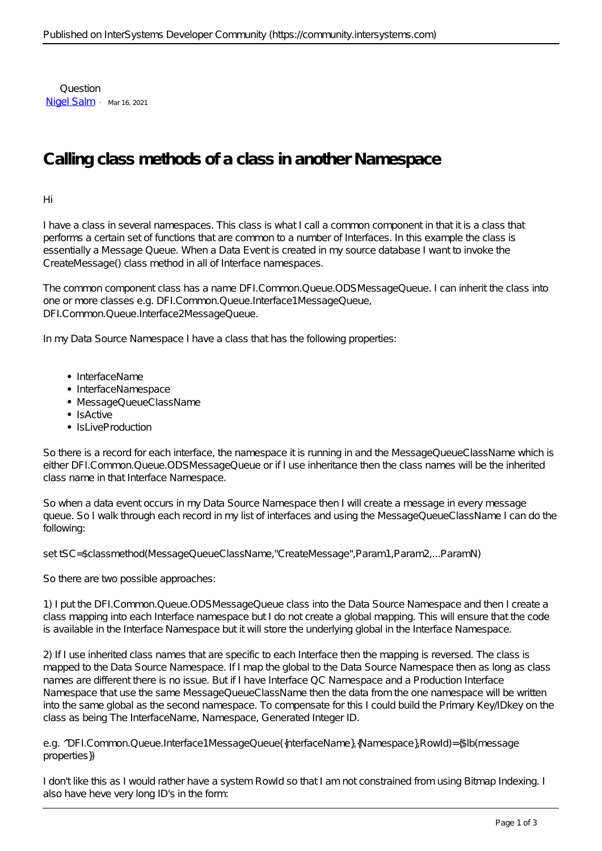Question [Nigel Salm](https://community.intersystems.com/user/nigel-salm-1) · Mar 16, 2021

# **Calling class methods of a class in another Namespace**

Hi

I have a class in several namespaces. This class is what I call a common component in that it is a class that performs a certain set of functions that are common to a number of Interfaces. In this example the class is essentially a Message Queue. When a Data Event is created in my source database I want to invoke the CreateMessage() class method in all of Interface namespaces.

The common component class has a name DFI.Common.Queue.ODSMessageQueue. I can inherit the class into one or more classes e.g. DFI.Common.Queue.Interface1MessageQueue, DFI.Common.Queue.Interface2MessageQueue.

In my Data Source Namespace I have a class that has the following properties:

- InterfaceName
- InterfaceNamespace
- MessageQueueClassName
- $\bullet$  IsActive
- IsLiveProduction

So there is a record for each interface, the namespace it is running in and the MessageQueueClassName which is either DFI.Common.Queue.ODSMessageQueue or if I use inheritance then the class names will be the inherited class name in that Interface Namespace.

So when a data event occurs in my Data Source Namespace then I will create a message in every message queue. So I walk through each record in my list of interfaces and using the MessageQueueClassName I can do the following:

set tSC=\$classmethod(MessageQueueClassName,"CreateMessage",Param1,Param2,...Param*N*)

So there are two possible approaches:

1) I put the DFI.Common.Queue.ODSMessageQueue class into the Data Source Namespace and then I create a class mapping into each Interface namespace but I do not create a global mapping. This will ensure that the code is available in the Interface Namespace but it will store the underlying global in the Interface Namespace.

2) If I use inherited class names that are specific to each Interface then the mapping is reversed. The class is mapped to the Data Source Namespace. If I map the global to the Data Source Namespace then as long as class names are different there is no issue. But if I have Interface QC Namespace and a Production Interface Namespace that use the same MessageQueueClassName then the data from the one namespace will be written into the same global as the second namespace. To compensate for this I could build the Primary Key/IDkey on the class as being The InterfaceName, Namespace, Generated Integer ID.

e.g. ^DFI.Common.Queue.Interface1MessageQueue({nterfaceName},{Namespace},RowId)={\$lb(message properties})

I don't like this as I would rather have a system RowId so that I am not constrained from using Bitmap Indexing. I also have heve very long ID's in the form: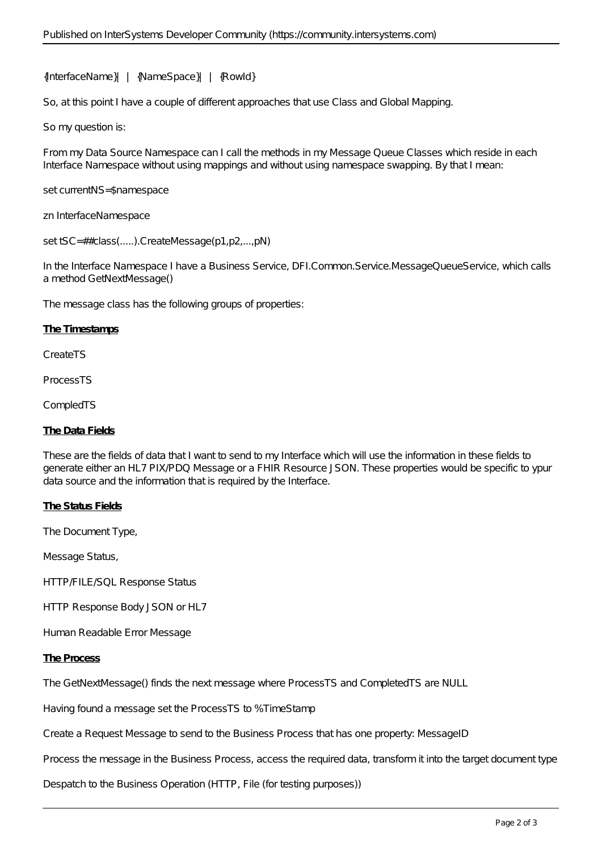{InterfaceName}||{NameSpace}||{RowId}

So, at this point I have a couple of different approaches that use Class and Global Mapping.

So my question is:

From my Data Source Namespace can I call the methods in my Message Queue Classes which reside in each Interface Namespace without using mappings and without using namespace swapping. By that I mean:

set currentNS=\$namespace

zn InterfaceNamespace

set tSC=##class(.....).CreateMessage(p1,p2,...,pN)

In the Interface Namespace I have a Business Service, DFI.Common.Service.MessageQueueService, which calls a method GetNextMessage()

The message class has the following groups of properties:

### **The Timestamps**

CreateTS

ProcessTS

CompledTS

### **The Data Fields**

These are the fields of data that I want to send to my Interface which will use the information in these fields to generate either an HL7 PIX/PDQ Message or a FHIR Resource JSON. These properties would be specific to ypur data source and the information that is required by the Interface.

## **The Status Fields**

The Document Type,

Message Status,

HTTP FILE SQL Response Status

HTTP Response Body JSON or HL7

Human Readable Error Message

### **The Process**

The GetNextMessage() finds the next message where ProcessTS and CompletedTS are NULL

Having found a message set the ProcessTS to %TimeStamp

Create a Request Message to send to the Business Process that has one property: MessageID

Process the message in the Business Process, access the required data, transform it into the target document type

Despatch to the Business Operation (HTTP, File (for testing purposes))